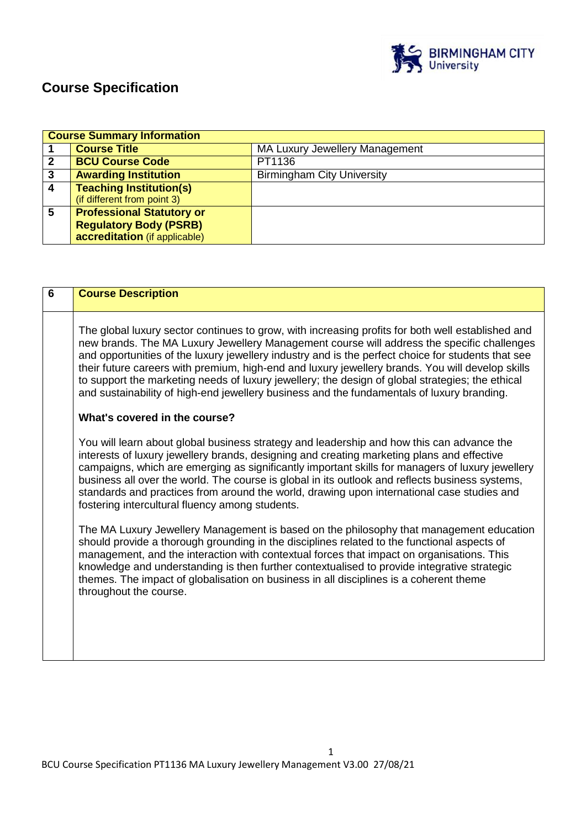

# **Course Specification**

|   | <b>Course Summary Information</b> |                                       |  |
|---|-----------------------------------|---------------------------------------|--|
|   | <b>Course Title</b>               | <b>MA Luxury Jewellery Management</b> |  |
| 2 | <b>BCU Course Code</b>            | PT1136                                |  |
| 3 | <b>Awarding Institution</b>       | <b>Birmingham City University</b>     |  |
|   | <b>Teaching Institution(s)</b>    |                                       |  |
|   | (if different from point 3)       |                                       |  |
| 5 | <b>Professional Statutory or</b>  |                                       |  |
|   | <b>Regulatory Body (PSRB)</b>     |                                       |  |
|   | accreditation (if applicable)     |                                       |  |

| $6\phantom{1}$ | <b>Course Description</b>                                                                                                                                                                                                                                                                                                                                                                                                                                                                                                                                                                                                                    |
|----------------|----------------------------------------------------------------------------------------------------------------------------------------------------------------------------------------------------------------------------------------------------------------------------------------------------------------------------------------------------------------------------------------------------------------------------------------------------------------------------------------------------------------------------------------------------------------------------------------------------------------------------------------------|
|                | The global luxury sector continues to grow, with increasing profits for both well established and<br>new brands. The MA Luxury Jewellery Management course will address the specific challenges<br>and opportunities of the luxury jewellery industry and is the perfect choice for students that see<br>their future careers with premium, high-end and luxury jewellery brands. You will develop skills<br>to support the marketing needs of luxury jewellery; the design of global strategies; the ethical<br>and sustainability of high-end jewellery business and the fundamentals of luxury branding.<br>What's covered in the course? |
|                | You will learn about global business strategy and leadership and how this can advance the<br>interests of luxury jewellery brands, designing and creating marketing plans and effective<br>campaigns, which are emerging as significantly important skills for managers of luxury jewellery<br>business all over the world. The course is global in its outlook and reflects business systems,<br>standards and practices from around the world, drawing upon international case studies and<br>fostering intercultural fluency among students.                                                                                              |
|                | The MA Luxury Jewellery Management is based on the philosophy that management education<br>should provide a thorough grounding in the disciplines related to the functional aspects of<br>management, and the interaction with contextual forces that impact on organisations. This<br>knowledge and understanding is then further contextualised to provide integrative strategic<br>themes. The impact of globalisation on business in all disciplines is a coherent theme<br>throughout the course.                                                                                                                                       |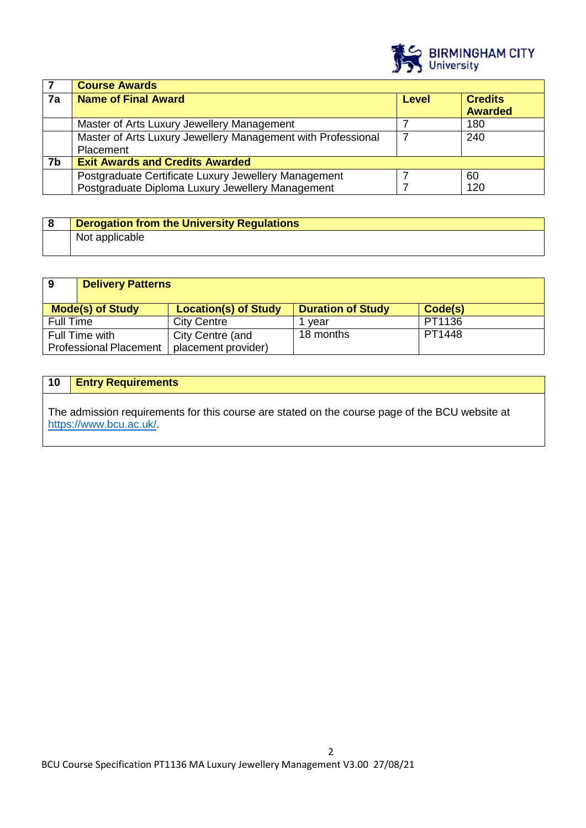

|    | <b>Course Awards</b>                                         |       |                                  |
|----|--------------------------------------------------------------|-------|----------------------------------|
| 7a | <b>Name of Final Award</b>                                   | Level | <b>Credits</b><br><b>Awarded</b> |
|    |                                                              |       |                                  |
|    | Master of Arts Luxury Jewellery Management                   |       | 180                              |
|    | Master of Arts Luxury Jewellery Management with Professional |       | 240                              |
|    | Placement                                                    |       |                                  |
| 7b | <b>Exit Awards and Credits Awarded</b>                       |       |                                  |
|    | Postgraduate Certificate Luxury Jewellery Management         |       | 60                               |
|    | Postgraduate Diploma Luxury Jewellery Management             |       | 120                              |

| Derogation from the University Regulations |
|--------------------------------------------|
| Not applicable                             |

| 9                                               | <b>Delivery Patterns</b> |                                         |                          |         |
|-------------------------------------------------|--------------------------|-----------------------------------------|--------------------------|---------|
| <b>Mode(s) of Study</b>                         |                          | <b>Location(s) of Study</b>             | <b>Duration of Study</b> | Code(s) |
| <b>Full Time</b>                                |                          | <b>City Centre</b>                      | vear                     | PT1136  |
| Full Time with<br><b>Professional Placement</b> |                          | City Centre (and<br>placement provider) | 18 months                | PT1448  |

# **10 Entry Requirements**

The admission requirements for this course are stated on the course page of the BCU website at [https://www.bcu.ac.uk/.](https://www.bcu.ac.uk/)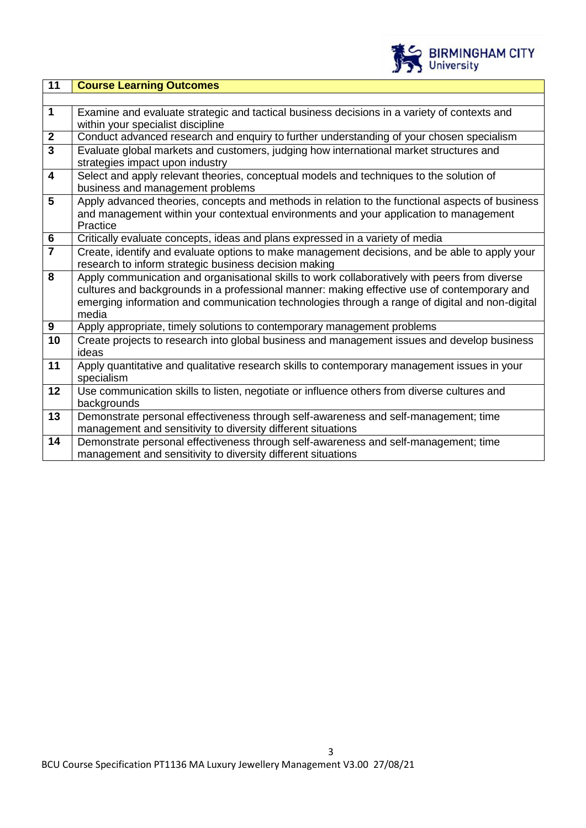

| 11                      | <b>Course Learning Outcomes</b>                                                                                                                                                                      |
|-------------------------|------------------------------------------------------------------------------------------------------------------------------------------------------------------------------------------------------|
|                         |                                                                                                                                                                                                      |
| $\mathbf{1}$            | Examine and evaluate strategic and tactical business decisions in a variety of contexts and                                                                                                          |
|                         | within your specialist discipline                                                                                                                                                                    |
| $\boldsymbol{2}$        | Conduct advanced research and enquiry to further understanding of your chosen specialism                                                                                                             |
| $\overline{3}$          | Evaluate global markets and customers, judging how international market structures and<br>strategies impact upon industry                                                                            |
| $\overline{\mathbf{4}}$ | Select and apply relevant theories, conceptual models and techniques to the solution of<br>business and management problems                                                                          |
| 5                       | Apply advanced theories, concepts and methods in relation to the functional aspects of business<br>and management within your contextual environments and your application to management<br>Practice |
| $6\phantom{1}6$         | Critically evaluate concepts, ideas and plans expressed in a variety of media                                                                                                                        |
| $\overline{7}$          | Create, identify and evaluate options to make management decisions, and be able to apply your<br>research to inform strategic business decision making                                               |
| 8                       | Apply communication and organisational skills to work collaboratively with peers from diverse<br>cultures and backgrounds in a professional manner: making effective use of contemporary and         |
|                         | emerging information and communication technologies through a range of digital and non-digital<br>media                                                                                              |
| 9                       | Apply appropriate, timely solutions to contemporary management problems                                                                                                                              |
| 10                      | Create projects to research into global business and management issues and develop business<br>ideas                                                                                                 |
| 11                      | Apply quantitative and qualitative research skills to contemporary management issues in your<br>specialism                                                                                           |
| 12                      | Use communication skills to listen, negotiate or influence others from diverse cultures and<br>backgrounds                                                                                           |
| 13                      | Demonstrate personal effectiveness through self-awareness and self-management; time<br>management and sensitivity to diversity different situations                                                  |
| 14                      | Demonstrate personal effectiveness through self-awareness and self-management; time<br>management and sensitivity to diversity different situations                                                  |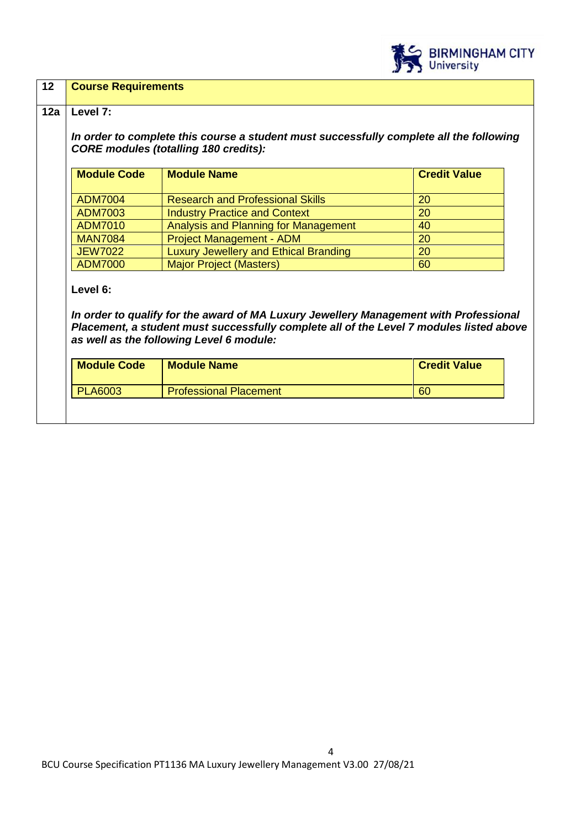

| $12 \overline{ }$ | <b>Course Requirements</b> |
|-------------------|----------------------------|
|-------------------|----------------------------|

# **12a Level 7:**

*In order to complete this course a student must successfully complete all the following CORE modules (totalling 180 credits):*

| <b>Module Code</b> | <b>Module Name</b>                           | <b>Credit Value</b> |
|--------------------|----------------------------------------------|---------------------|
| <b>ADM7004</b>     | <b>Research and Professional Skills</b>      | 20                  |
| <b>ADM7003</b>     | <b>Industry Practice and Context</b>         | 20                  |
| <b>ADM7010</b>     | Analysis and Planning for Management         | 40                  |
| <b>MAN7084</b>     | <b>Project Management - ADM</b>              | 20                  |
| <b>JEW7022</b>     | <b>Luxury Jewellery and Ethical Branding</b> | 20                  |
| <b>ADM7000</b>     | <b>Major Project (Masters)</b>               | 60                  |

## **Level 6:**

*In order to qualify for the award of MA Luxury Jewellery Management with Professional Placement, a student must successfully complete all of the Level 7 modules listed above as well as the following Level 6 module:*

| <b>Module Code</b> | <b>Module Name</b>            | <b>Credit Value</b> |
|--------------------|-------------------------------|---------------------|
| <b>PLA6003</b>     | <b>Professional Placement</b> | 60                  |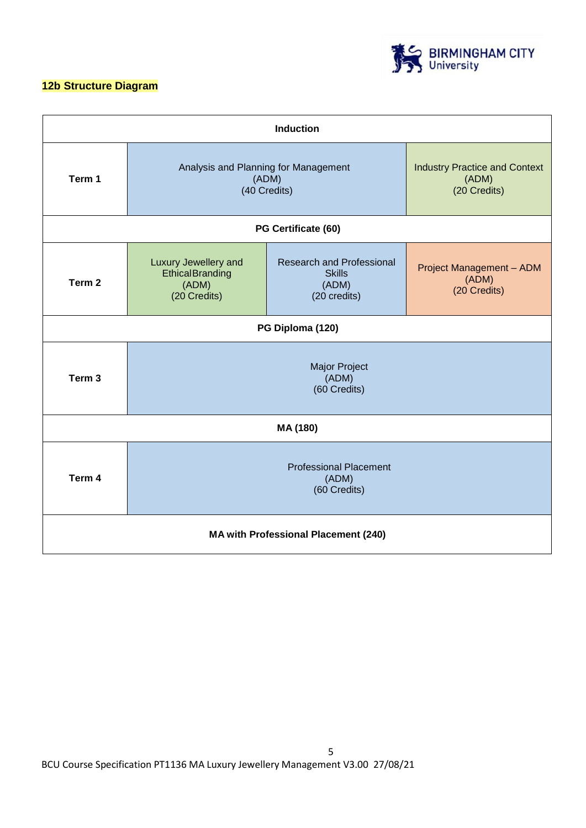# **12b Structure Diagram**



| <b>Induction</b>                            |                                                                                                                                                                                                                    |                     |                                                               |  |
|---------------------------------------------|--------------------------------------------------------------------------------------------------------------------------------------------------------------------------------------------------------------------|---------------------|---------------------------------------------------------------|--|
| Term 1                                      | Analysis and Planning for Management<br>(ADM)<br>(40 Credits)                                                                                                                                                      |                     | <b>Industry Practice and Context</b><br>(ADM)<br>(20 Credits) |  |
|                                             |                                                                                                                                                                                                                    | PG Certificate (60) |                                                               |  |
| Term <sub>2</sub>                           | Luxury Jewellery and<br><b>Research and Professional</b><br><b>Project Management - ADM</b><br><b>Ethical Branding</b><br><b>Skills</b><br>(ADM)<br>(ADM)<br>(ADM)<br>(20 Credits)<br>(20 Credits)<br>(20 credits) |                     |                                                               |  |
| PG Diploma (120)                            |                                                                                                                                                                                                                    |                     |                                                               |  |
| Term <sub>3</sub>                           | <b>Major Project</b><br>(ADM)<br>(60 Credits)                                                                                                                                                                      |                     |                                                               |  |
| MA (180)                                    |                                                                                                                                                                                                                    |                     |                                                               |  |
| Term 4                                      | <b>Professional Placement</b><br>(ADM)<br>(60 Credits)                                                                                                                                                             |                     |                                                               |  |
| <b>MA with Professional Placement (240)</b> |                                                                                                                                                                                                                    |                     |                                                               |  |